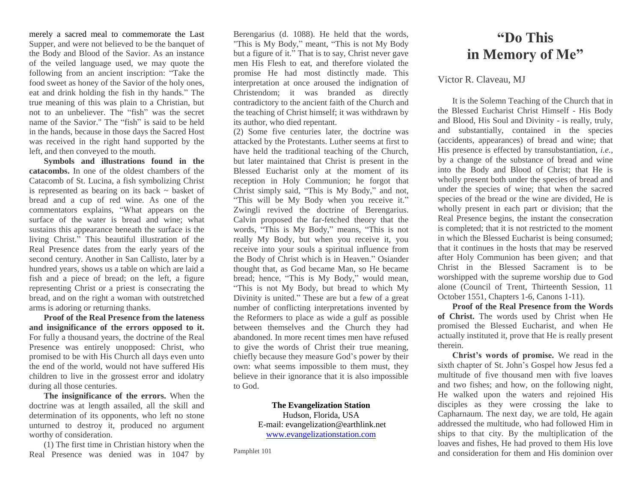merely a sacred meal to commemorate the Last Supper, and were not believed to be the banquet of the Body and Blood of the Savior. As an instance of the veiled language used, we may quote the following from an ancient inscription: "Take the food sweet as honey of the Savior of the holy ones, eat and drink holding the fish in thy hands." The true meaning of this was plain to a Christian, but not to an unbeliever. The "fish" was the secret name of the Savior." The "fish" is said to be held in the hands, because in those days the Sacred Host was received in the right hand supported by the left, and then conveyed to the mouth.

**Symbols and illustrations found in the catacombs.** In one of the oldest chambers of the Catacomb of St. Lucina, a fish symbolizing Christ is represented as bearing on its back  $\sim$  basket of bread and a cup of red wine. As one of the commentators explains, "What appears on the surface of the water is bread and wine; what sustains this appearance beneath the surface is the living Christ." This beautiful illustration of the Real Presence dates from the early years of the second century. Another in San Callisto, later by a hundred years, shows us a table on which are laid a fish and a piece of bread; on the left, a figure representing Christ or a priest is consecrating the bread, and on the right a woman with outstretched arms is adoring or returning thanks.

**Proof of the Real Presence from the lateness and insignificance of the errors opposed to it.**  For fully a thousand years, the doctrine of the Real Presence was entirely unopposed: Christ, who promised to be with His Church all days even unto the end of the world, would not have suffered His children to live in the grossest error and idolatry during all those centuries.

**The insignificance of the errors.** When the doctrine was at length assailed, all the skill and determination of its opponents, who left no stone unturned to destroy it, produced no argument worthy of consideration.

(1) The first time in Christian history when the Real Presence was denied was in 1047 by

Berengarius (d. 1088). He held that the words, "This is My Body," meant, "This is not My Body but a figure of it." That is to say, Christ never gave men His Flesh to eat, and therefore violated the promise He had most distinctly made. This interpretation at once aroused the indignation of Christendom; it was branded as directly contradictory to the ancient faith of the Church and the teaching of Christ himself; it was withdrawn by its author, who died repentant.

(2) Some five centuries later, the doctrine was attacked by the Protestants. Luther seems at first to have held the traditional teaching of the Church, but later maintained that Christ is present in the Blessed Eucharist only at the moment of its reception in Holy Communion; he forgot that Christ simply said, "This is My Body," and not, "This will be My Body when you receive it." Zwingli revived the doctrine of Berengarius. Calvin proposed the far-fetched theory that the words, "This is My Body," means, "This is not really My Body, but when you receive it, you receive into your souls a spiritual influence from the Body of Christ which is in Heaven." Osiander thought that, as God became Man, so He became bread; hence, "This is My Body," would mean, "This is not My Body, but bread to which My Divinity is united." These are but a few of a great number of conflicting interpretations invented by the Reformers to place as wide a gulf as possible between themselves and the Church they had abandoned. In more recent times men have refused to give the words of Christ their true meaning, chiefly because they measure God's power by their own: what seems impossible to them must, they believe in their ignorance that it is also impossible to God.

> **The Evangelization Station** Hudson, Florida, USA E-mail: evangelization@earthlink.net [www.evangelizationstation.com](http://www.pjpiisoe.org/)

Pamphlet 101

## **"Do This in Memory of Me"**

## Victor R. Claveau, MJ

It is the Solemn Teaching of the Church that in the Blessed Eucharist Christ Himself - His Body and Blood, His Soul and Divinity - is really, truly, and substantially, contained in the species (accidents, appearances) of bread and wine; that His presence is effected by transubstantiation, *i.e.,*  by a change of the substance of bread and wine into the Body and Blood of Christ; that He is wholly present both under the species of bread and under the species of wine; that when the sacred species of the bread or the wine are divided, He is wholly present in each part or division; that the Real Presence begins, the instant the consecration is completed; that it is not restricted to the moment in which the Blessed Eucharist is being consumed; that it continues in the hosts that may be reserved after Holy Communion has been given; and that Christ in the Blessed Sacrament is to be worshipped with the supreme worship due to God alone (Council of Trent, Thirteenth Session, 11 October 1551, Chapters 1-6, Canons 1-11).

**Proof of the Real Presence from the Words of Christ.** The words used by Christ when He promised the Blessed Eucharist, and when He actually instituted it, prove that He is really present therein.

**Christ's words of promise.** We read in the sixth chapter of St. John's Gospel how Jesus fed a multitude of five thousand men with five loaves and two fishes; and how, on the following night, He walked upon the waters and rejoined His disciples as they were crossing the lake to Capharnaum. The next day, we are told, He again addressed the multitude, who had followed Him in ships to that city. By the multiplication of the loaves and fishes, He had proved to them His love and consideration for them and His dominion over